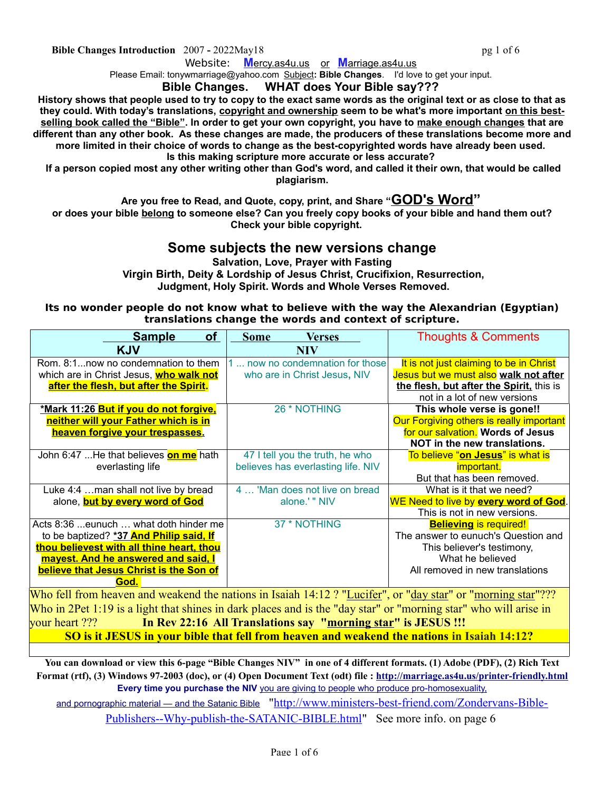**Bible Changes Introduction** 2007 **-** 2022May18 **pg 1 of 6** pg 1 of 6

Website: **[M](https://mercy.as4u.us/)**[ercy.as4u.us](https://mercy.as4u.us/) or **M**arriage.as4u.us

Please Email: tonywmarriage@yahoo.com Subject**: Bible Changes**. I'd love to get your input.

## **Bible Changes. WHAT does Your Bible say???**

**History shows that people used to try to copy to the exact same words as the original text or as close to that as they could. With today's translations, copyright and ownership seem to be what's more important on this bestselling book called the "Bible". In order to get your own copyright, you have to make enough changes that are different than any other book. As these changes are made, the producers of these translations become more and more limited in their choice of words to change as the best-copyrighted words have already been used. Is this making scripture more accurate or less accurate?** 

 **If a person copied most any other writing other than God's word, and called it their own, that would be called plagiarism.**

**Are you free to Read, and Quote, copy, print, and Share "GOD's Word"**

**or does your bible belong to someone else? Can you freely copy books of your bible and hand them out? Check your bible copyright.** 

## **Some subjects the new versions change**

**Salvation, Love, Prayer with Fasting Virgin Birth, Deity & Lordship of Jesus Christ, Crucifixion, Resurrection, Judgment, Holy Spirit. Words and Whole Verses Removed.**

## **Its no wonder people do not know what to believe with the way the Alexandrian (Egyptian) translations change the words and context of scripture.**

| <b>Sample</b><br><b>of</b>                    | <b>Some</b><br><b>Verses</b>       | <b>Thoughts &amp; Comments</b>           |
|-----------------------------------------------|------------------------------------|------------------------------------------|
| <b>KJV</b>                                    | <b>NIV</b>                         |                                          |
| Rom. 8:1now no condemnation to them           | now no condemnation for those      | It is not just claiming to be in Christ  |
| which are in Christ Jesus, who walk not       | who are in Christ Jesus, NIV       | Jesus but we must also walk not after    |
| after the flesh, but after the Spirit.        |                                    | the flesh, but after the Spirit, this is |
|                                               |                                    | not in a lot of new versions             |
| <u>*Mark 11:26 But if you do not forgive,</u> | 26 * NOTHING                       | This whole verse is gone!!               |
| neither will your Father which is in          |                                    | Our Forgiving others is really important |
| heaven forgive your trespasses.               |                                    | for our salvation. Words of Jesus        |
|                                               |                                    | NOT in the new translations.             |
| John 6:47 He that believes <b>on me</b> hath  | 47 I tell you the truth, he who    | To believe "on Jesus" is what is         |
| everlasting life                              | believes has everlasting life. NIV | <i>important.</i>                        |
|                                               |                                    | But that has been removed.               |
| Luke 4:4 man shall not live by bread          | 4  'Man does not live on bread     | What is it that we need?                 |
| alone, <b>but by every word of God</b>        | alone.' " NIV                      | WE Need to live by every word of God.    |
|                                               |                                    | This is not in new versions.             |
| Acts 8:36 eunuch  what doth hinder me         | 37 * NOTHING                       | <b>Believing is required!</b>            |
| to be baptized? *37 And Philip said, If       |                                    | The answer to eunuch's Question and      |
| thou believest with all thine heart, thou     |                                    | This believer's testimony,               |
| mayest. And he answered and said, I           |                                    | What he believed                         |
| believe that Jesus Christ is the Son of       |                                    | All removed in new translations          |
| God.                                          |                                    |                                          |

Who fell from heaven and weakend the nations in Isaiah 14:12 ? "Lucifer", or "day star" or "morning star"??? Who in 2Pet 1:19 is a light that shines in dark places and is the "day star" or "morning star" who will arise in your heart ??? **In Rev 22:16 All Translations say "morning star" is JESUS !!! SO is it JESUS in your bible that fell from heaven and weakend the nations in Isaiah 14:12?**

**You can download or view this 6-page "Bible Changes NIV" in one of 4 different formats. (1) Adobe (PDF), (2) Rich Text Format (rtf), (3) Windows 97-2003 (doc), or (4) Open Document Text (odt) file :<http://marriage.as4u.us/printer-friendly.html> Every time you purchase the NIV** you are giving to people who produce pro-homosexuality, and pornographic material — [and the Satanic Bible](http://www.ministers-best-friend.com/Zondervans-Bible-Publishers--Why-publish-the-SATANIC-BIBLE.html) ["http://www.ministers-best-friend.com/Zondervans-Bible-](http://www.ministers-best-friend.com/Zondervans-Bible-Publishers--Why-publish-the-SATANIC-BIBLE.html)[Publishers--Why-publish-the-SATANIC-BIBLE.html"](http://www.ministers-best-friend.com/Zondervans-Bible-Publishers--Why-publish-the-SATANIC-BIBLE.html) See more info. on page 6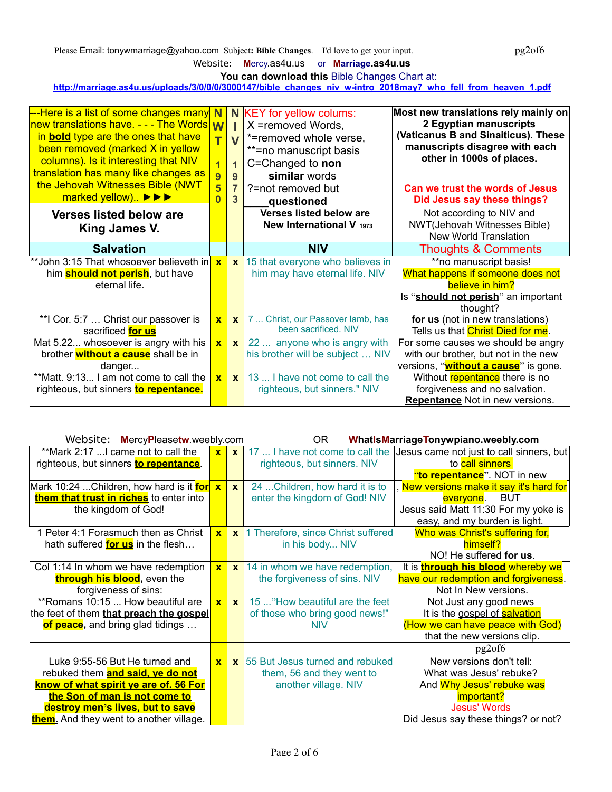Please Email: tonywmarriage@yahoo.com Subject: Bible Changes. I'd love to get your input. pg2of6

Website: **M** ercy.as4u.us or **M arriage.as4u.us** 

You can download this **[Bible Changes Chart at:](http://whatismarriagetonywpiano.weebly.com/printer-friendly-version-and-other-free-downloads)** 

**http://marriage.as4u.us/uploads/3/0/0/0/3000147/bible\_changes\_niv\_w-intro\_2018may7\_who\_fell\_from\_heaven\_1.pdf**

| ---Here is a list of some changes many N<br>new translations have. - - - The Words W<br>in <b>bold</b> type are the ones that have<br>been removed (marked X in yellow<br>columns). Is it interesting that NIV<br>translation has many like changes as<br>the Jehovah Witnesses Bible (NWT<br>marked yellow) ▶▶▶ | $\overline{\mathsf{T}}$<br>$\overline{1}$<br>9<br>$\overline{\mathbf{5}}$<br>$\overline{0}$ | $\overline{\mathsf{V}}$<br>$\overline{1}$<br>9<br>$\overline{7}$<br>3 | N KEY for yellow colums:<br>X =removed Words,<br>*=removed whole verse,<br>**=no manuscript basis<br>C=Changed to non<br>similar words<br>?=not removed but<br>questioned | Most new translations rely mainly on<br>2 Egyptian manuscripts<br>(Vaticanus B and Sinaiticus). These<br>manuscripts disagree with each<br>other in 1000s of places.<br>Can we trust the words of Jesus<br>Did Jesus say these things? |
|------------------------------------------------------------------------------------------------------------------------------------------------------------------------------------------------------------------------------------------------------------------------------------------------------------------|---------------------------------------------------------------------------------------------|-----------------------------------------------------------------------|---------------------------------------------------------------------------------------------------------------------------------------------------------------------------|----------------------------------------------------------------------------------------------------------------------------------------------------------------------------------------------------------------------------------------|
| <b>Verses listed below are</b><br>King James V.                                                                                                                                                                                                                                                                  |                                                                                             |                                                                       | <b>Verses listed below are</b><br>New International V 1973                                                                                                                | Not according to NIV and<br>NWT(Jehovah Witnesses Bible)<br><b>New World Translation</b>                                                                                                                                               |
| <b>Salvation</b>                                                                                                                                                                                                                                                                                                 |                                                                                             |                                                                       | <b>NIV</b>                                                                                                                                                                | <b>Thoughts &amp; Comments</b>                                                                                                                                                                                                         |
| <sup>**</sup> John 3:15 That whosoever believeth in <mark>l</mark>                                                                                                                                                                                                                                               | $\overline{\mathbf{x}}$                                                                     | $\mathbf{x}$                                                          | 15 that everyone who believes in                                                                                                                                          | **no manuscript basis!                                                                                                                                                                                                                 |
| him <b>should not perish</b> , but have                                                                                                                                                                                                                                                                          |                                                                                             |                                                                       | him may have eternal life. NIV                                                                                                                                            | What happens if someone does not                                                                                                                                                                                                       |
| eternal life.                                                                                                                                                                                                                                                                                                    |                                                                                             |                                                                       |                                                                                                                                                                           | believe in him?                                                                                                                                                                                                                        |
|                                                                                                                                                                                                                                                                                                                  |                                                                                             |                                                                       |                                                                                                                                                                           | Is "should not perish" an important                                                                                                                                                                                                    |
|                                                                                                                                                                                                                                                                                                                  |                                                                                             |                                                                       |                                                                                                                                                                           | thought?                                                                                                                                                                                                                               |
| **I Cor. 5:7  Christ our passover is                                                                                                                                                                                                                                                                             | $\overline{\mathbf{x}}$                                                                     | $\mathbf{x}$                                                          | 7  Christ, our Passover lamb, has<br>been sacrificed. NIV                                                                                                                 | for us (not in new translations)                                                                                                                                                                                                       |
| sacrificed for us                                                                                                                                                                                                                                                                                                |                                                                                             |                                                                       |                                                                                                                                                                           | Tells us that Christ Died for me.                                                                                                                                                                                                      |
| Mat 5.22 whosoever is angry with his                                                                                                                                                                                                                                                                             | $\mathbf{x}$                                                                                | $\mathbf{x}$                                                          | 22  anyone who is angry with                                                                                                                                              | For some causes we should be angry                                                                                                                                                                                                     |
| brother <b>without a cause</b> shall be in                                                                                                                                                                                                                                                                       |                                                                                             |                                                                       | his brother will be subject  NIV                                                                                                                                          | with our brother, but not in the new                                                                                                                                                                                                   |
| danger                                                                                                                                                                                                                                                                                                           |                                                                                             |                                                                       |                                                                                                                                                                           | versions, " <b>without a cause</b> " is gone.                                                                                                                                                                                          |
| **Matt. 9:13 I am not come to call the                                                                                                                                                                                                                                                                           | $\mathbf{x}$                                                                                | $\mathbf{x}$                                                          | 13  I have not come to call the                                                                                                                                           | Without repentance there is no                                                                                                                                                                                                         |
| righteous, but sinners to repentance.                                                                                                                                                                                                                                                                            |                                                                                             |                                                                       | righteous, but sinners." NIV                                                                                                                                              | forgiveness and no salvation.                                                                                                                                                                                                          |
|                                                                                                                                                                                                                                                                                                                  |                                                                                             |                                                                       |                                                                                                                                                                           | <b>Repentance</b> Not in new versions.                                                                                                                                                                                                 |

| Website: MercyPleasetw.weebly.com              |              |              | OR.                                           | WhatIsMarriageTonywpiano.weebly.com                   |
|------------------------------------------------|--------------|--------------|-----------------------------------------------|-------------------------------------------------------|
| **Mark 2:17  came not to call the              | $\mathbf{x}$ | $\mathbf{x}$ | 17  I have not come to call the               | Jesus came not just to call sinners, but              |
| righteous, but sinners to repentance.          |              |              | righteous, but sinners. NIV                   | to call sinners                                       |
|                                                |              |              |                                               | "to repentance". NOT in new                           |
| Mark 10:24 Children, how hard is it for        | $\mathbf{x}$ | $\mathbf{x}$ | 24  Children, how hard it is to               | , <mark>New versions make it say it's hard for</mark> |
| them that trust in riches to enter into        |              |              | enter the kingdom of God! NIV                 | everyone. BUT                                         |
| the kingdom of God!                            |              |              |                                               | Jesus said Matt 11:30 For my yoke is                  |
|                                                |              |              |                                               | easy, and my burden is light.                         |
| 1 Peter 4:1 Forasmuch then as Christ           | $\mathbf{x}$ |              | x 1 Therefore, since Christ suffered          | Who was Christ's suffering for,                       |
| hath suffered <b>for us</b> in the flesh       |              |              | in his body NIV                               | himself?                                              |
|                                                |              |              |                                               | NO! He suffered for us.                               |
| Col 1:14 In whom we have redemption            | $\mathbf{x}$ |              | $\mathsf{x}$   14 in whom we have redemption, | It is <b>through his blood</b> whereby we             |
| through his blood, even the                    |              |              | the forgiveness of sins. NIV                  | have our redemption and forgiveness.                  |
| forgiveness of sins:                           |              |              |                                               | Not In New versions.                                  |
| **Romans 10:15  How beautiful are              | $\mathbf{x}$ | $\mathbf{x}$ | 15 "How beautiful are the feet                | Not Just any good news                                |
| the feet of them that preach the gospel        |              |              | of those who bring good news!"                | It is the gospel of salvation                         |
| of peace, and bring glad tidings               |              |              | <b>NIV</b>                                    | (How we can have peace with God)                      |
|                                                |              |              |                                               | that the new versions clip.                           |
|                                                |              |              |                                               | pg2of6                                                |
| Luke 9:55-56 But He turned and                 | $\mathbf{x}$ |              | x 55 But Jesus turned and rebuked             | New versions don't tell:                              |
| rebuked them <b>and said, ye do not</b>        |              |              | them, 56 and they went to                     | What was Jesus' rebuke?                               |
| know of what spirit ye are of. 56 For          |              |              | another village. NIV                          | And Why Jesus' rebuke was                             |
| the Son of man is not come to                  |              |              |                                               | important?                                            |
| destroy men's lives, but to save               |              |              |                                               | <b>Jesus' Words</b>                                   |
| <b>them.</b> And they went to another village. |              |              |                                               | Did Jesus say these things? or not?                   |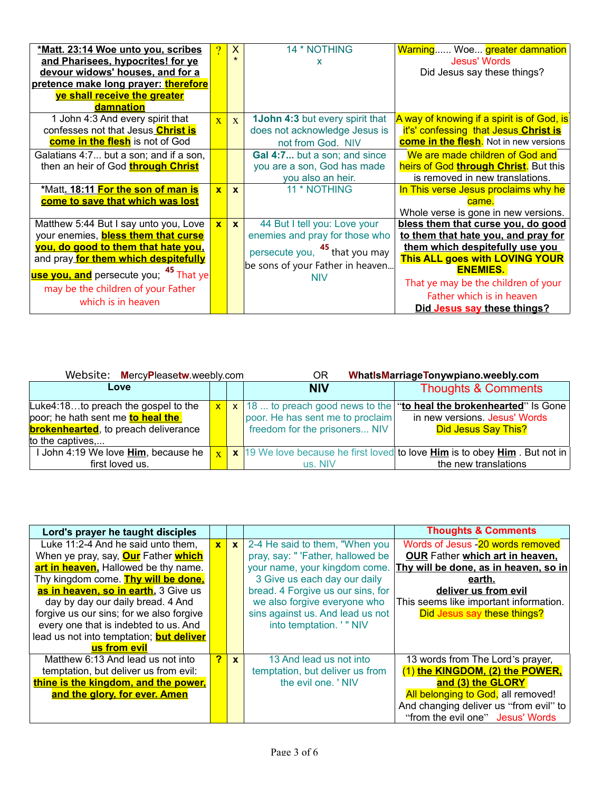| *Matt. 23:14 Woe unto you, scribes                | $\overline{?}$ | $\mathsf{X}$ | 14 * NOTHING                              | Warning Woe greater damnation                 |
|---------------------------------------------------|----------------|--------------|-------------------------------------------|-----------------------------------------------|
| and Pharisees, hypocrites! for ye                 |                |              | x                                         | <b>Jesus' Words</b>                           |
| devour widows' houses, and for a                  |                |              |                                           | Did Jesus say these things?                   |
| pretence make long prayer: therefore              |                |              |                                           |                                               |
| ye shall receive the greater                      |                |              |                                           |                                               |
| damnation                                         |                |              |                                           |                                               |
| 1 John 4:3 And every spirit that                  | $\mathbf{x}$   | $\mathbf{x}$ | <b>1John 4:3 but every spirit that</b>    | A way of knowing if a spirit is of God, is    |
| confesses not that Jesus Christ is                |                |              | does not acknowledge Jesus is             | it's' confessing that Jesus Christ is         |
| come in the flesh is not of God                   |                |              | not from God. NIV                         | <b>come in the flesh.</b> Not in new versions |
| Galatians 4:7 but a son; and if a son,            |                |              | Gal 4:7 but a son; and since              | We are made children of God and               |
| then an heir of God through Christ                |                |              | you are a son, God has made               | heirs of God through Christ. But this         |
|                                                   |                |              | you also an heir.                         | is removed in new translations.               |
| *Matt. 18:11 For the son of man is                | $\mathbf{x}$   | $\mathbf{x}$ | 11 * NOTHING                              | In This verse Jesus proclaims why he          |
| come to save that which was lost                  |                |              |                                           | came.                                         |
|                                                   |                |              |                                           | Whole verse is gone in new versions.          |
| Matthew 5:44 But I say unto you, Love             | $\mathbf{x}$   | $\mathbf{x}$ | 44 But I tell you: Love your              | bless them that curse you, do good            |
| your enemies, <b>bless them that curse</b>        |                |              | enemies and pray for those who            | to them that hate you, and pray for           |
| you, do good to them that hate you,               |                |              | persecute you, <sup>45</sup> that you may | them which despitefully use you               |
| and pray for them which despitefully              |                |              |                                           | This ALL goes with LOVING YOUR                |
| use you, and persecute you; <sup>45</sup> That ye |                |              | be sons of your Father in heaven          | <b>ENEMIES.</b>                               |
| may be the children of your Father                |                |              | NIV                                       | That ye may be the children of your           |
|                                                   |                |              |                                           | Father which is in heaven                     |
| which is in heaven                                |                |              |                                           | Did Jesus say these things?                   |

| Website: MercyPleasetw.weebly.com                                                                                                                  |              | WhatIsMarriageTonywpiano.weebly.com<br>ΟR |                                                                   |                                                                                                                                       |
|----------------------------------------------------------------------------------------------------------------------------------------------------|--------------|-------------------------------------------|-------------------------------------------------------------------|---------------------------------------------------------------------------------------------------------------------------------------|
| Love                                                                                                                                               |              |                                           | <b>NIV</b>                                                        | <b>Thoughts &amp; Comments</b>                                                                                                        |
| Luke4:18to preach the gospel to the<br>poor; he hath sent me <b>to heal the</b><br><b>brokenhearted</b> , to preach deliverance<br>to the captives | $\mathbf{x}$ |                                           | poor. He has sent me to proclaim<br>freedom for the prisoners NIV | $x$ 18  to preach good news to the "to heal the brokenhearted" is Gone<br>in new versions. Jesus' Words<br><b>Did Jesus Say This?</b> |
| I John 4:19 We love <b>Him</b> , because he<br>first loved us.                                                                                     | $\mathbf{x}$ |                                           | us. NIV                                                           | x 19 We love because he first loved to love <b>Him</b> is to obey <b>Him</b> . But not in<br>the new translations                     |

| Lord's prayer he taught disciples                 |                         |              |                                   | <b>Thoughts &amp; Comments</b>         |
|---------------------------------------------------|-------------------------|--------------|-----------------------------------|----------------------------------------|
| Luke 11:2-4 And he said unto them,                | $\mathbf{x}$            | $\mathbf{x}$ | 2-4 He said to them, "When you    | Words of Jesus - 20 words removed      |
| When ye pray, say, <b>Our</b> Father <b>which</b> |                         |              | pray, say: " 'Father, hallowed be | <b>OUR Father which art in heaven,</b> |
| art in heaven, Hallowed be thy name.              |                         |              | your name, your kingdom come.     | Thy will be done, as in heaven, so in  |
| Thy kingdom come. Thy will be done,               |                         |              | 3 Give us each day our daily      | earth.                                 |
| as in heaven, so in earth. 3 Give us              |                         |              | bread. 4 Forgive us our sins, for | deliver us from evil                   |
| day by day our daily bread. 4 And                 |                         |              | we also forgive everyone who      | This seems like important information. |
| forgive us our sins; for we also forgive          |                         |              | sins against us. And lead us not  | Did Jesus say these things?            |
| every one that is indebted to us. And             |                         |              | into temptation. ' " NIV          |                                        |
| lead us not into temptation; but deliver          |                         |              |                                   |                                        |
| us from evil                                      |                         |              |                                   |                                        |
| Matthew 6:13 And lead us not into                 | $\overline{\mathbf{r}}$ | $\mathbf{x}$ | 13 And lead us not into           | 13 words from The Lord's prayer,       |
| temptation, but deliver us from evil:             |                         |              | temptation, but deliver us from   | (1) the KINGDOM, (2) the POWER,        |
| thine is the kingdom, and the power,              |                         |              | the evil one. 'NIV                | and (3) the GLORY                      |
| and the glory, for ever. Amen                     |                         |              |                                   | All belonging to God, all removed!     |
|                                                   |                         |              |                                   | And changing deliver us "from evil" to |
|                                                   |                         |              |                                   | "from the evil one" Jesus' Words       |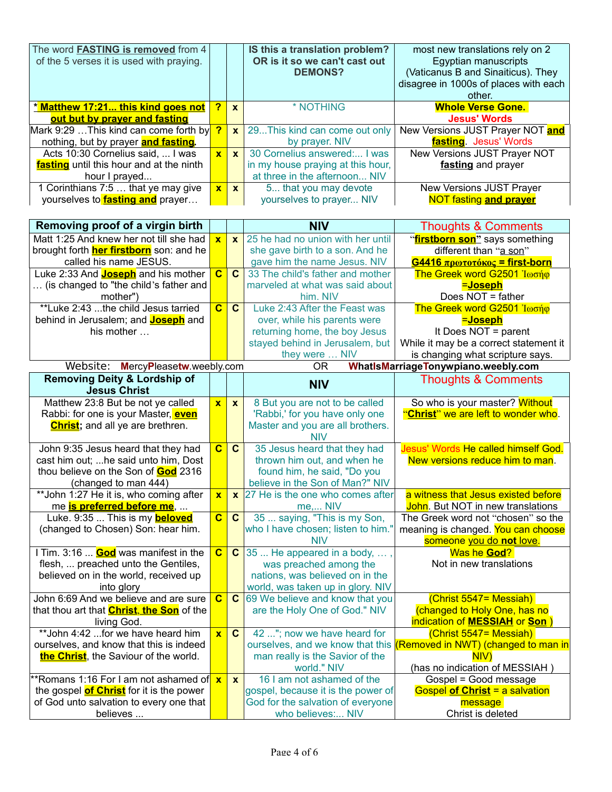| The word FASTING is removed from 4<br>of the 5 verses it is used with praying. |              |              | IS this a translation problem?<br>OR is it so we can't cast out<br><b>DEMONS?</b> | most new translations rely on 2<br>Egyptian manuscripts<br>(Vaticanus B and Sinaiticus). They<br>disagree in 1000s of places with each<br>other. |
|--------------------------------------------------------------------------------|--------------|--------------|-----------------------------------------------------------------------------------|--------------------------------------------------------------------------------------------------------------------------------------------------|
| * Matthew 17:21 this kind goes not                                             | 2            | $\mathbf{x}$ | * NOTHING                                                                         | <b>Whole Verse Gone.</b>                                                                                                                         |
| out but by prayer and fasting                                                  |              |              |                                                                                   | <b>Jesus' Words</b>                                                                                                                              |
| Mark 9:29  This kind can come forth by                                         | <u>?</u>     | $\mathbf{x}$ | 29This kind can come out only                                                     | New Versions JUST Prayer NOT and                                                                                                                 |
| nothing, but by prayer and fasting.                                            |              |              | by prayer. NIV                                                                    | fasting. Jesus' Words                                                                                                                            |
| Acts 10:30 Cornelius said,  I was                                              | $\mathbf{x}$ | $\mathbf{x}$ | 30 Cornelius answered: I was                                                      | New Versions JUST Prayer NOT                                                                                                                     |
| <b>fasting</b> until this hour and at the ninth                                |              |              | in my house praying at this hour,                                                 | fasting and prayer                                                                                                                               |
| hour I prayed                                                                  |              |              | at three in the afternoon NIV                                                     |                                                                                                                                                  |
| 1 Corinthians 7:5  that ye may give                                            | $\mathbf{x}$ | $\mathbf{x}$ | 5 that you may devote                                                             | New Versions JUST Prayer                                                                                                                         |
| yourselves to <b>fasting and</b> prayer                                        |              |              | yourselves to prayer NIV                                                          | <b>NOT fasting and prayer</b>                                                                                                                    |

| Removing proof of a virgin birth                  |                         |                | <b>NIV</b>                                         | <b>Thoughts &amp; Comments</b>               |
|---------------------------------------------------|-------------------------|----------------|----------------------------------------------------|----------------------------------------------|
| Matt 1:25 And knew her not till she had           | $\mathbf{x}$            | $\mathbf{x}$   | 25 he had no union with her until                  | "firstborn son" says something               |
| brought forth <b>her firstborn</b> son: and he    |                         |                | she gave birth to a son. And he                    | different than "a son"                       |
| called his name JESUS.                            |                         |                | gave him the name Jesus. NIV                       | $G$ 4416 πρωτοτόκος = first-born             |
| Luke 2:33 And <b>Joseph</b> and his mother        | $\overline{\mathbf{c}}$ | $\overline{c}$ | 33 The child's father and mother                   | The Greek word G2501 Ιωσήφ                   |
| (is changed to "the child's father and            |                         |                | marveled at what was said about                    | =Joseph                                      |
| mother")                                          |                         |                | him. NIV                                           | Does NOT = father                            |
| **Luke 2:43 the child Jesus tarried               | $\overline{c}$          | $\mathbf{C}$   | Luke 2:43 After the Feast was                      | The Greek word G2501 Ιωσήφ                   |
| behind in Jerusalem; and <b>Joseph</b> and        |                         |                | over, while his parents were                       | =Joseph                                      |
| his mother                                        |                         |                | returning home, the boy Jesus                      | It Does NOT = parent                         |
|                                                   |                         |                | stayed behind in Jerusalem, but                    | While it may be a correct statement it       |
|                                                   |                         |                | they were  NIV                                     | is changing what scripture says.             |
| Website:<br>MercyPleasetw.weebly.com              |                         |                | <b>OR</b>                                          | WhatIsMarriageTonywpiano.weebly.com          |
| <b>Removing Deity &amp; Lordship of</b>           |                         |                | <b>NIV</b>                                         | <b>Thoughts &amp; Comments</b>               |
| <b>Jesus Christ</b>                               |                         |                |                                                    |                                              |
| Matthew 23:8 But be not ye called                 | $\mathbf{x}$            | $\mathbf{x}$   | 8 But you are not to be called                     | So who is your master? Without               |
| Rabbi: for one is your Master, <b>even</b>        |                         |                | 'Rabbi,' for you have only one                     | "Christ" we are left to wonder who.          |
| <b>Christ</b> ; and all ye are brethren.          |                         |                | Master and you are all brothers.                   |                                              |
|                                                   |                         |                | <b>NIV</b>                                         |                                              |
| John 9:35 Jesus heard that they had               | $\overline{\mathbf{C}}$ | $\mathbf{C}$   | 35 Jesus heard that they had                       | Jesus' Words He called himself God.          |
| cast him out; he said unto him, Dost              |                         |                | thrown him out, and when he                        | New versions reduce him to man.              |
| thou believe on the Son of <b>God</b> 2316        |                         |                | found him, he said, "Do you                        |                                              |
| (changed to man 444)                              |                         |                | believe in the Son of Man?" NIV                    |                                              |
| ** John 1:27 He it is, who coming after           | $\overline{\mathbf{x}}$ |                | $\mathsf{\times}$ 27 He is the one who comes after | a witness that Jesus existed before          |
| me <b>is preferred before me</b> ,                |                         |                | me, NIV                                            | John. But NOT in new translations            |
| Luke. 9:35  This is my <b>beloved</b>             | $\mathbf c$             | $\mathbf{C}$   | 35  saying, "This is my Son,                       | The Greek word not "chosen" so the           |
| (changed to Chosen) Son: hear him.                |                         |                | who I have chosen; listen to him."                 | meaning is changed. You can choose           |
|                                                   |                         |                | <b>NIV</b>                                         | someone you do not love.                     |
| I Tim. 3:16 <b>God</b> was manifest in the        | $\mathbf{C}$            |                | $\mathsf{C}$ 35  He appeared in a body, ,          | Was he God?                                  |
| flesh,  preached unto the Gentiles,               |                         |                | was preached among the                             | Not in new translations                      |
| believed on in the world, received up             |                         |                | nations, was believed on in the                    |                                              |
| into glory                                        |                         |                | world, was taken up in glory. NIV                  |                                              |
| John 6:69 And we believe and are sure             | $\overline{\mathbf{C}}$ |                | $\mathsf{C}$ 69 We believe and know that you       | (Christ 5547= Messiah)                       |
| that thou art that <b>Christ</b> , the Son of the |                         |                | are the Holy One of God." NIV                      | (changed to Holy One, has no                 |
| living God.                                       |                         |                |                                                    | indication of <b>MESSIAH</b> or <b>Son</b> ) |
| ** John 4:42  for we have heard him               | $\overline{\mathbf{x}}$ | $\mathbf{C}$   | 42 "; now we have heard for                        | (Christ 5547= Messiah)                       |
| ourselves, and know that this is indeed           |                         |                | ourselves, and we know that this                   | (Removed in NWT) (changed to man in          |
| the Christ, the Saviour of the world.             |                         |                | man really is the Savior of the                    | NIV)                                         |
|                                                   |                         |                | world." NIV                                        | (has no indication of MESSIAH)               |
| **Romans 1:16 For I am not ashamed of x           |                         | $\mathbf{x}$   | 16 I am not ashamed of the                         | Gospel = Good message                        |
| the gospel of Christ for it is the power          |                         |                | gospel, because it is the power of                 | <b>Gospel of Christ = a salvation</b>        |
| of God unto salvation to every one that           |                         |                | God for the salvation of everyone                  | message                                      |
| believes                                          |                         |                | who believes: NIV                                  | Christ is deleted                            |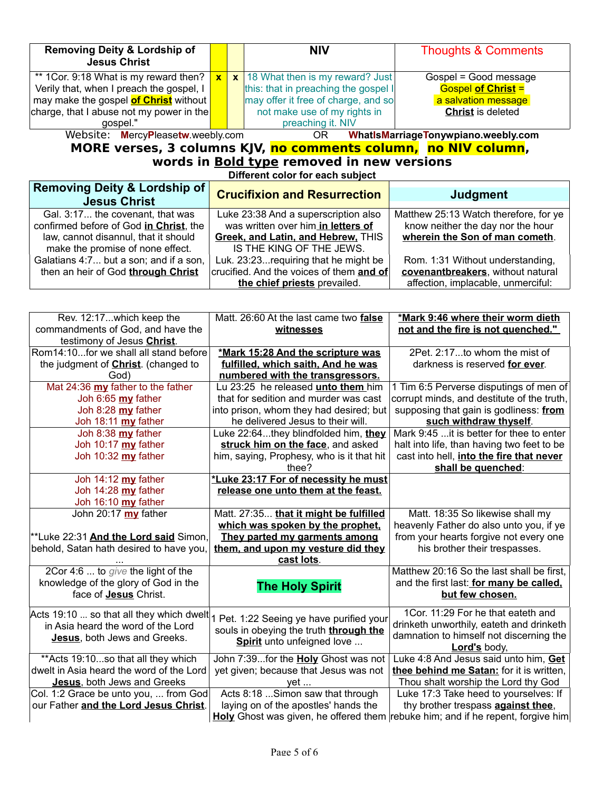| <b>Removing Deity &amp; Lordship of</b><br><b>Jesus Christ</b>                        |              | <b>NIV</b>                           | <b>Thoughts &amp; Comments</b>        |  |  |
|---------------------------------------------------------------------------------------|--------------|--------------------------------------|---------------------------------------|--|--|
| ** 1 Cor. 9:18 What is my reward then?                                                | $\mathbf{x}$ | $x$ 18 What then is my reward? Just  | Gospel = Good message                 |  |  |
| Verily that, when I preach the gospel, I                                              |              | this: that in preaching the gospel I | <b>Gospel of Christ =</b>             |  |  |
| may make the gospel <b>of Christ</b> without                                          |              | may offer it free of charge, and so  | a salvation message                   |  |  |
| charge, that I abuse not my power in the                                              |              | not make use of my rights in         | <b>Christ</b> is deleted              |  |  |
| qospel."                                                                              |              | preaching it. NIV                    |                                       |  |  |
| Website: MercyPleasetw.weebly.com<br>WhatIsMarriageTonywpiano.weebly.com<br>OR        |              |                                      |                                       |  |  |
| MORE verses, 3 columns KJV, no comments column, no NIV column,                        |              |                                      |                                       |  |  |
| words in <b>Bold type</b> removed in new versions<br>Different color for each subject |              |                                      |                                       |  |  |
| <b>Removing Deity &amp; Lordship of</b>                                               |              |                                      |                                       |  |  |
| <b>Jesus Christ</b>                                                                   |              | <b>Crucifixion and Resurrection</b>  | <b>Judgment</b>                       |  |  |
| Gal. 3:17 the covenant, that was                                                      |              | Luke 23:38 And a superscription also | Matthew 25:13 Watch therefore, for ye |  |  |

| confirmed before of God in Christ, the | was written over him in letters of       | know neither the day nor the hour  |
|----------------------------------------|------------------------------------------|------------------------------------|
| law, cannot disannul, that it should   | Greek, and Latin, and Hebrew, THIS       | wherein the Son of man cometh.     |
| make the promise of none effect.       | IS THE KING OF THE JEWS.                 |                                    |
| Galatians 4:7 but a son; and if a son, | Luk. 23:23 requiring that he might be    | Rom. 1:31 Without understanding,   |
| then an heir of God through Christ     | crucified. And the voices of them and of | covenantbreakers, without natural  |
|                                        | the chief priests prevailed.             | affection, implacable, unmerciful: |

| Rev. 12:17which keep the<br>commandments of God, and have the<br>testimony of Jesus Christ.                    | Matt. 26:60 At the last came two false<br>witnesses                                                                                                                | *Mark 9:46 where their worm dieth<br>not and the fire is not quenched."                                                                                                       |
|----------------------------------------------------------------------------------------------------------------|--------------------------------------------------------------------------------------------------------------------------------------------------------------------|-------------------------------------------------------------------------------------------------------------------------------------------------------------------------------|
| Rom14:10for we shall all stand before<br>the judgment of <b>Christ</b> . (changed to<br>God)                   | *Mark 15:28 And the scripture was<br>fulfilled, which saith, And he was<br>numbered with the transgressors.                                                        | 2Pet. 2:17to whom the mist of<br>darkness is reserved for ever.                                                                                                               |
| Mat 24:36 my father to the father<br>Joh 6:65 my father<br>Joh 8:28 $my$ father<br>Joh 18:11 my father         | Lu 23:25 he released <i>unto them</i> him<br>that for sedition and murder was cast<br>into prison, whom they had desired; but<br>he delivered Jesus to their will. | 1 Tim 6:5 Perverse disputings of men of<br>corrupt minds, and destitute of the truth,<br>supposing that gain is godliness: from<br>such withdraw thyself.                     |
| Joh 8:38 my father<br>Joh 10:17 my father<br>Joh 10:32 my father                                               | Luke 22:64they blindfolded him, they<br>struck him on the face, and asked<br>him, saying, Prophesy, who is it that hit<br>thee?                                    | Mark 9:45  it is better for thee to enter<br>halt into life, than having two feet to be<br>cast into hell, into the fire that never<br>shall be quenched:                     |
| Joh 14:12 my father<br>Joh 14:28 my father<br>Joh 16:10 my father                                              | *Luke 23:17 For of necessity he must<br>release one unto them at the feast.                                                                                        |                                                                                                                                                                               |
| John 20:17 my father<br>**Luke 22:31 And the Lord said Simon,<br>behold, Satan hath desired to have you,       | Matt. 27:35 that it might be fulfilled<br>which was spoken by the prophet.<br>They parted my garments among<br>them, and upon my vesture did they<br>cast lots.    | Matt. 18:35 So likewise shall my<br>heavenly Father do also unto you, if ye<br>from your hearts forgive not every one<br>his brother their trespasses.                        |
| 2Cor 4:6  to give the light of the<br>knowledge of the glory of God in the<br>face of <b>Jesus</b> Christ.     | <b>The Holy Spirit</b>                                                                                                                                             | Matthew 20:16 So the last shall be first,<br>and the first last: for many be called.<br>but few chosen.                                                                       |
| Acts 19:10  so that all they which dwelt<br>in Asia heard the word of the Lord<br>Jesus, both Jews and Greeks. | 1 Pet. 1:22 Seeing ye have purified your<br>souls in obeying the truth through the<br>Spirit unto unfeigned love                                                   | 1Cor. 11:29 For he that eateth and<br>drinketh unworthily, eateth and drinketh<br>damnation to himself not discerning the<br>Lord's body,                                     |
| ** Acts 19:10so that all they which<br>dwelt in Asia heard the word of the Lord<br>Jesus, both Jews and Greeks | John 7:39for the Holy Ghost was not<br>yet given; because that Jesus was not<br>yet                                                                                | Luke 4:8 And Jesus said unto him, Get<br>thee behind me Satan: for it is written,<br>Thou shalt worship the Lord thy God                                                      |
| Col. 1:2 Grace be unto you,  from God<br>our Father and the Lord Jesus Christ.                                 | Acts 8:18  Simon saw that through<br>laying on of the apostles' hands the                                                                                          | Luke 17:3 Take heed to yourselves: If<br>thy brother trespass <b>against thee</b> ,<br><b>Holy</b> Ghost was given, he offered them rebuke him; and if he repent, forgive him |